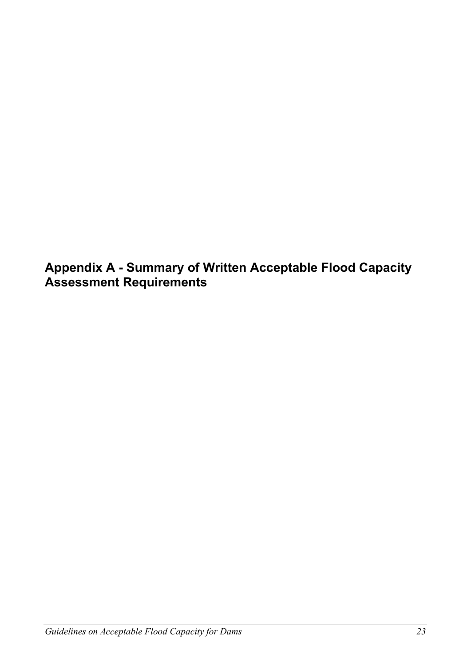**Appendix A - Summary of Written Acceptable Flood Capacity Assessment Requirements**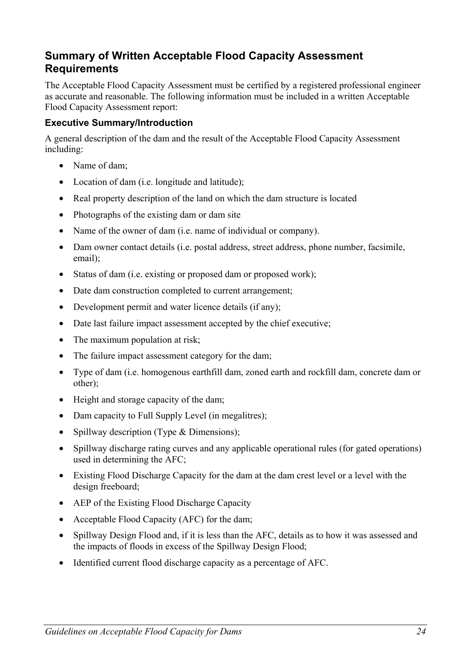# **Summary of Written Acceptable Flood Capacity Assessment Requirements**

The Acceptable Flood Capacity Assessment must be certified by a registered professional engineer as accurate and reasonable. The following information must be included in a written Acceptable Flood Capacity Assessment report:

#### **Executive Summary/Introduction**

A general description of the dam and the result of the Acceptable Flood Capacity Assessment including:

- Name of dam;
- Location of dam (i.e. longitude and latitude);
- Real property description of the land on which the dam structure is located
- Photographs of the existing dam or dam site
- Name of the owner of dam (i.e. name of individual or company).
- Dam owner contact details (i.e. postal address, street address, phone number, facsimile, email);
- Status of dam (i.e. existing or proposed dam or proposed work);
- Date dam construction completed to current arrangement;
- Development permit and water licence details (if any);
- Date last failure impact assessment accepted by the chief executive;
- The maximum population at risk;
- The failure impact assessment category for the dam;
- Type of dam (i.e. homogenous earthfill dam, zoned earth and rockfill dam, concrete dam or other);
- Height and storage capacity of the dam;
- Dam capacity to Full Supply Level (in megalitres);
- Spillway description (Type & Dimensions);
- Spillway discharge rating curves and any applicable operational rules (for gated operations) used in determining the AFC;
- Existing Flood Discharge Capacity for the dam at the dam crest level or a level with the design freeboard;
- AEP of the Existing Flood Discharge Capacity
- Acceptable Flood Capacity (AFC) for the dam;
- Spillway Design Flood and, if it is less than the AFC, details as to how it was assessed and the impacts of floods in excess of the Spillway Design Flood;
- Identified current flood discharge capacity as a percentage of AFC.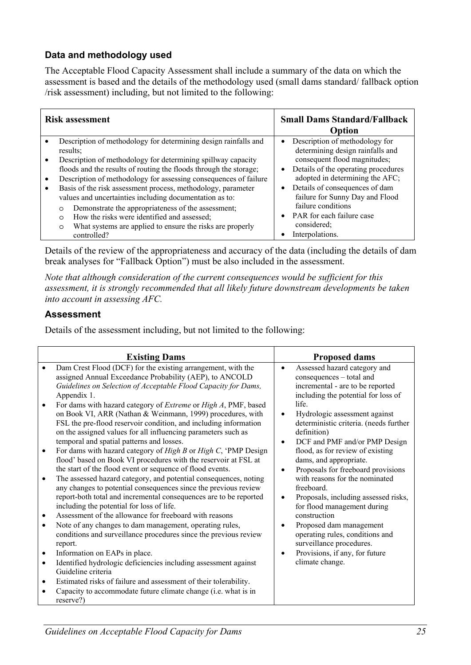### **Data and methodology used**

The Acceptable Flood Capacity Assessment shall include a summary of the data on which the assessment is based and the details of the methodology used (small dams standard/ fallback option /risk assessment) including, but not limited to the following:

| <b>Risk assessment</b>                                                                                                                                                                                                                                                                                                                                                                                                                                                                                                                                                                                                            | <b>Small Dams Standard/Fallback</b><br>Option                                                                                                                                                                                                                                                                                                                    |
|-----------------------------------------------------------------------------------------------------------------------------------------------------------------------------------------------------------------------------------------------------------------------------------------------------------------------------------------------------------------------------------------------------------------------------------------------------------------------------------------------------------------------------------------------------------------------------------------------------------------------------------|------------------------------------------------------------------------------------------------------------------------------------------------------------------------------------------------------------------------------------------------------------------------------------------------------------------------------------------------------------------|
| Description of methodology for determining design rainfalls and<br>results:<br>Description of methodology for determining spillway capacity<br>floods and the results of routing the floods through the storage;<br>Description of methodology for assessing consequences of failure<br>Basis of the risk assessment process, methodology, parameter<br>values and uncertainties including documentation as to:<br>Demonstrate the appropriateness of the assessment;<br>$\circ$<br>How the risks were identified and assessed;<br>$\circ$<br>What systems are applied to ensure the risks are properly<br>$\circ$<br>controlled? | Description of methodology for<br>determining design rainfalls and<br>consequent flood magnitudes;<br>Details of the operating procedures<br>$\bullet$<br>adopted in determining the AFC;<br>Details of consequences of dam<br>$\bullet$<br>failure for Sunny Day and Flood<br>failure conditions<br>PAR for each failure case<br>considered;<br>Interpolations. |

Details of the review of the appropriateness and accuracy of the data (including the details of dam break analyses for "Fallback Option") must be also included in the assessment.

*Note that although consideration of the current consequences would be sufficient for this assessment, it is strongly recommended that all likely future downstream developments be taken into account in assessing AFC.* 

#### **Assessment**

Details of the assessment including, but not limited to the following:

| <b>Existing Dams</b>                                                                                                                                                                                                                                                                                                                                                                                                                                                                                                                                                                                                                                                                                                                                                                                                                                                                                                                                                                                                                                                                                                                                                                                                                                                                                                                                                                   | <b>Proposed dams</b>                                                                                                                                                                                                                                                                                                                                                                                                                                                                                                                                                                                                                                                                                                                                         |
|----------------------------------------------------------------------------------------------------------------------------------------------------------------------------------------------------------------------------------------------------------------------------------------------------------------------------------------------------------------------------------------------------------------------------------------------------------------------------------------------------------------------------------------------------------------------------------------------------------------------------------------------------------------------------------------------------------------------------------------------------------------------------------------------------------------------------------------------------------------------------------------------------------------------------------------------------------------------------------------------------------------------------------------------------------------------------------------------------------------------------------------------------------------------------------------------------------------------------------------------------------------------------------------------------------------------------------------------------------------------------------------|--------------------------------------------------------------------------------------------------------------------------------------------------------------------------------------------------------------------------------------------------------------------------------------------------------------------------------------------------------------------------------------------------------------------------------------------------------------------------------------------------------------------------------------------------------------------------------------------------------------------------------------------------------------------------------------------------------------------------------------------------------------|
| Dam Crest Flood (DCF) for the existing arrangement, with the<br>assigned Annual Exceedance Probability (AEP), to ANCOLD<br>Guidelines on Selection of Acceptable Flood Capacity for Dams,<br>Appendix 1.<br>For dams with hazard category of <i>Extreme</i> or <i>High A</i> , PMF, based<br>on Book VI, ARR (Nathan & Weinmann, 1999) procedures, with<br>FSL the pre-flood reservoir condition, and including information<br>on the assigned values for all influencing parameters such as<br>temporal and spatial patterns and losses.<br>For dams with hazard category of High B or High C, 'PMP Design<br>flood' based on Book VI procedures with the reservoir at FSL at<br>the start of the flood event or sequence of flood events.<br>The assessed hazard category, and potential consequences, noting<br>$\bullet$<br>any changes to potential consequences since the previous review<br>report-both total and incremental consequences are to be reported<br>including the potential for loss of life.<br>Assessment of the allowance for freeboard with reasons<br>Note of any changes to dam management, operating rules,<br>$\bullet$<br>conditions and surveillance procedures since the previous review<br>report.<br>Information on EAPs in place.<br>$\bullet$<br>Identified hydrologic deficiencies including assessment against<br>$\bullet$<br>Guideline criteria | Assessed hazard category and<br>$\bullet$<br>consequences - total and<br>incremental - are to be reported<br>including the potential for loss of<br>life.<br>Hydrologic assessment against<br>$\bullet$<br>deterministic criteria. (needs further<br>definition)<br>DCF and PMF and/or PMP Design<br>$\bullet$<br>flood, as for review of existing<br>dams, and appropriate.<br>Proposals for freeboard provisions<br>$\bullet$<br>with reasons for the nominated<br>freeboard.<br>Proposals, including assessed risks,<br>$\bullet$<br>for flood management during<br>construction<br>Proposed dam management<br>$\bullet$<br>operating rules, conditions and<br>surveillance procedures.<br>Provisions, if any, for future<br>$\bullet$<br>climate change. |
| Estimated risks of failure and assessment of their tolerability.                                                                                                                                                                                                                                                                                                                                                                                                                                                                                                                                                                                                                                                                                                                                                                                                                                                                                                                                                                                                                                                                                                                                                                                                                                                                                                                       |                                                                                                                                                                                                                                                                                                                                                                                                                                                                                                                                                                                                                                                                                                                                                              |
| Capacity to accommodate future climate change (i.e. what is in<br>reserve?)                                                                                                                                                                                                                                                                                                                                                                                                                                                                                                                                                                                                                                                                                                                                                                                                                                                                                                                                                                                                                                                                                                                                                                                                                                                                                                            |                                                                                                                                                                                                                                                                                                                                                                                                                                                                                                                                                                                                                                                                                                                                                              |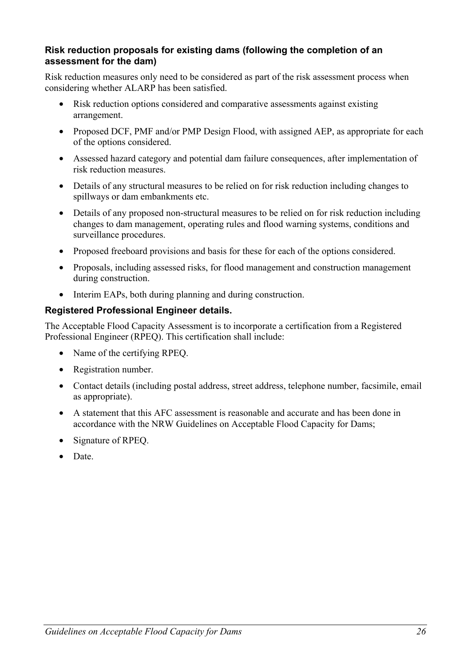#### **Risk reduction proposals for existing dams (following the completion of an assessment for the dam)**

Risk reduction measures only need to be considered as part of the risk assessment process when considering whether ALARP has been satisfied.

- Risk reduction options considered and comparative assessments against existing arrangement.
- Proposed DCF, PMF and/or PMP Design Flood, with assigned AEP, as appropriate for each of the options considered.
- Assessed hazard category and potential dam failure consequences, after implementation of risk reduction measures.
- Details of any structural measures to be relied on for risk reduction including changes to spillways or dam embankments etc.
- Details of any proposed non-structural measures to be relied on for risk reduction including changes to dam management, operating rules and flood warning systems, conditions and surveillance procedures.
- Proposed freeboard provisions and basis for these for each of the options considered.
- Proposals, including assessed risks, for flood management and construction management during construction.
- Interim EAPs, both during planning and during construction.

#### **Registered Professional Engineer details.**

The Acceptable Flood Capacity Assessment is to incorporate a certification from a Registered Professional Engineer (RPEQ). This certification shall include:

- Name of the certifying RPEQ.
- Registration number.
- Contact details (including postal address, street address, telephone number, facsimile, email as appropriate).
- A statement that this AFC assessment is reasonable and accurate and has been done in accordance with the NRW Guidelines on Acceptable Flood Capacity for Dams;
- Signature of RPEQ.
- Date.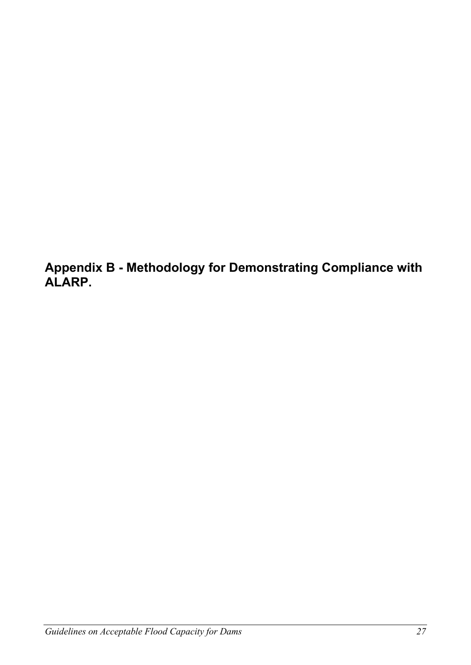**Appendix B - Methodology for Demonstrating Compliance with ALARP.**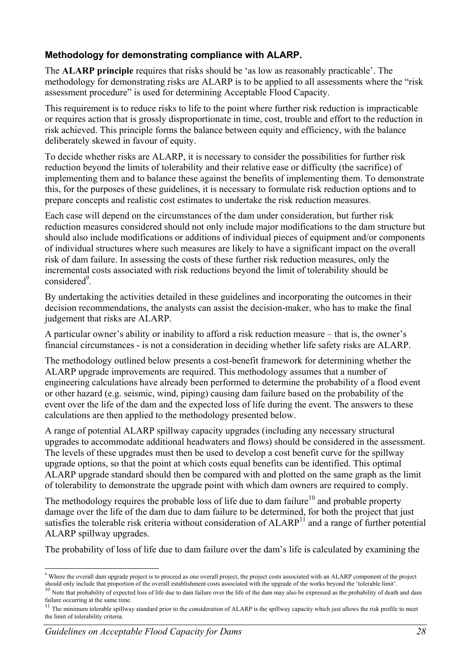## **Methodology for demonstrating compliance with ALARP.**

The **ALARP principle** requires that risks should be 'as low as reasonably practicable'. The methodology for demonstrating risks are ALARP is to be applied to all assessments where the "risk assessment procedure" is used for determining Acceptable Flood Capacity.

This requirement is to reduce risks to life to the point where further risk reduction is impracticable or requires action that is grossly disproportionate in time, cost, trouble and effort to the reduction in risk achieved. This principle forms the balance between equity and efficiency, with the balance deliberately skewed in favour of equity.

To decide whether risks are ALARP, it is necessary to consider the possibilities for further risk reduction beyond the limits of tolerability and their relative ease or difficulty (the sacrifice) of implementing them and to balance these against the benefits of implementing them. To demonstrate this, for the purposes of these guidelines, it is necessary to formulate risk reduction options and to prepare concepts and realistic cost estimates to undertake the risk reduction measures.

Each case will depend on the circumstances of the dam under consideration, but further risk reduction measures considered should not only include major modifications to the dam structure but should also include modifications or additions of individual pieces of equipment and/or components of individual structures where such measures are likely to have a significant impact on the overall risk of dam failure. In assessing the costs of these further risk reduction measures, only the incremental costs associated with risk reductions beyond the limit of tolerability should be considered<sup>9</sup>.

By undertaking the activities detailed in these guidelines and incorporating the outcomes in their decision recommendations, the analysts can assist the decision-maker, who has to make the final judgement that risks are ALARP.

A particular owner's ability or inability to afford a risk reduction measure – that is, the owner's financial circumstances - is not a consideration in deciding whether life safety risks are ALARP.

The methodology outlined below presents a cost-benefit framework for determining whether the ALARP upgrade improvements are required. This methodology assumes that a number of engineering calculations have already been performed to determine the probability of a flood event or other hazard (e.g. seismic, wind, piping) causing dam failure based on the probability of the event over the life of the dam and the expected loss of life during the event. The answers to these calculations are then applied to the methodology presented below.

A range of potential ALARP spillway capacity upgrades (including any necessary structural upgrades to accommodate additional headwaters and flows) should be considered in the assessment. The levels of these upgrades must then be used to develop a cost benefit curve for the spillway upgrade options, so that the point at which costs equal benefits can be identified. This optimal ALARP upgrade standard should then be compared with and plotted on the same graph as the limit of tolerability to demonstrate the upgrade point with which dam owners are required to comply.

The methodology requires the probable loss of life due to dam failure<sup>10</sup> and probable property damage over the life of the dam due to dam failure to be determined, for both the project that just satisfies the tolerable risk criteria without consideration of  $ALARP<sup>11</sup>$  and a range of further potential ALARP spillway upgrades.

The probability of loss of life due to dam failure over the dam's life is calculated by examining the

 9 Where the overall dam upgrade project is to proceed as one overall project, the project costs associated with an ALARP component of the project should only include that proportion of the overall establishment costs associated with the upgrade of the works beyond the 'tolerable limit'.<br><sup>10</sup> Note that probability of expected loss of life due to dam failure over the

failure occurring at the same time.

 $11$  The minimum tolerable spillway standard prior to the consideration of ALARP is the spillway capacity which just allows the risk profile to meet the limit of tolerability criteria.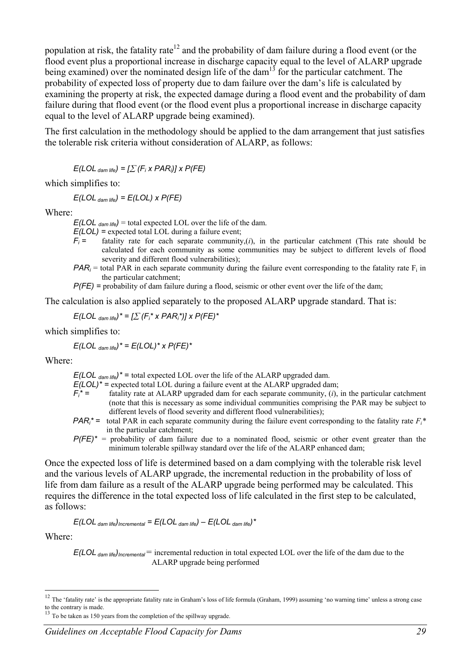population at risk, the fatality rate<sup>12</sup> and the probability of dam failure during a flood event (or the flood event plus a proportional increase in discharge capacity equal to the level of ALARP upgrade being examined) over the nominated design life of the dam<sup>13</sup> for the particular catchment. The probability of expected loss of property due to dam failure over the dam's life is calculated by examining the property at risk, the expected damage during a flood event and the probability of dam failure during that flood event (or the flood event plus a proportional increase in discharge capacity equal to the level of ALARP upgrade being examined).

The first calculation in the methodology should be applied to the dam arrangement that just satisfies the tolerable risk criteria without consideration of ALARP, as follows:

 $E(\text{LOL}_{\text{dam life}}) = \left[\sum(F_i \times \text{PAR}_i)\right] \times P(\text{FE})$ 

which simplifies to:

*E(LOL dam life) = E(LOL) x P(FE)* 

Where:

 $E(LOL_{dam life})$  = total expected LOL over the life of the dam.

*E(LOL) =* expected total LOL during a failure event;

- $F_i =$ fatality rate for each separate community, $(i)$ , in the particular catchment (This rate should be calculated for each community as some communities may be subject to different levels of flood severity and different flood vulnerabilities);
- *PAR<sub>i</sub>* = total PAR in each separate community during the failure event corresponding to the fatality rate  $F_i$  in the particular catchment;
- *P(FE)* = probability of dam failure during a flood, seismic or other event over the life of the dam;

The calculation is also applied separately to the proposed ALARP upgrade standard. That is:

$$
E(LOL_{dam\;life})^* = \left[\sum (F_i^* \times PAR_i^*)\right] \times P(FE)^*
$$

which simplifies to:

$$
E(LOL_{dam\,life})^* = E(LOL)^* \times P(FE)^*
$$

Where:

 $E(LOL<sub>dam life</sub>)^*$  = total expected LOL over the life of the ALARP upgraded dam.

 $E(LOL)^*$  = expected total LOL during a failure event at the ALARP upgraded dam;

- $F_i^* =$ fatality rate at ALARP upgraded dam for each separate community,  $(i)$ , in the particular catchment (note that this is necessary as some individual communities comprising the PAR may be subject to different levels of flood severity and different flood vulnerabilities);
- *PAR<sub>i</sub>*<sup>\*</sup> = total PAR in each separate community during the failure event corresponding to the fatality rate  $F_i^*$ in the particular catchment;
- $P(FE)^*$  = probability of dam failure due to a nominated flood, seismic or other event greater than the minimum tolerable spillway standard over the life of the ALARP enhanced dam;

Once the expected loss of life is determined based on a dam complying with the tolerable risk level and the various levels of ALARP upgrade, the incremental reduction in the probability of loss of life from dam failure as a result of the ALARP upgrade being performed may be calculated. This requires the difference in the total expected loss of life calculated in the first step to be calculated, as follows:

$$
E(LOL_{dam life})_{incremental} = E(LOL_{dam life}) - E(LOL_{dam life})^*
$$

Where:

 $\overline{a}$ 

*E(LOL dam life)Incremental* = incremental reduction in total expected LOL over the life of the dam due to the ALARP upgrade being performed

<sup>&</sup>lt;sup>12</sup> The 'fatality rate' is the appropriate fatality rate in Graham's loss of life formula (Graham, 1999) assuming 'no warning time' unless a strong case to the contrary is made.

<sup>&</sup>lt;sup>13</sup> To be taken as 150 years from the completion of the spillway upgrade.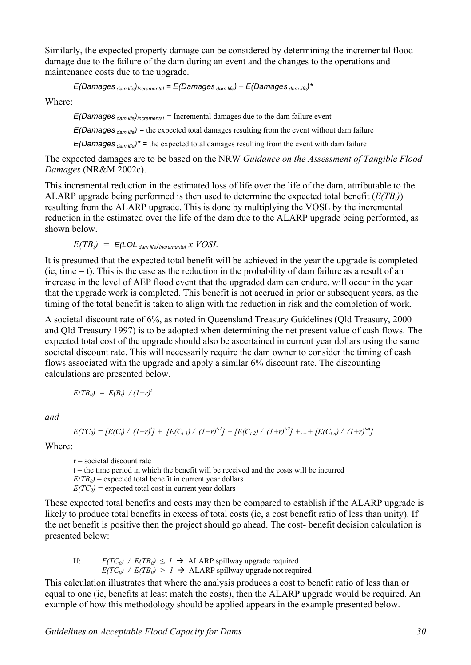Similarly, the expected property damage can be considered by determining the incremental flood damage due to the failure of the dam during an event and the changes to the operations and maintenance costs due to the upgrade.

*E(Damages dam life)Incremental = E(Damages dam life)* – *E(Damages dam life)\**

Where:

*E*(*Damages* <sub>dam life)<sub>Incremental</sub> = Incremental damages due to the dam failure event</sub>

*E(Damages dam life) =* the expected total damages resulting from the event without dam failure

 $E(Damages_{dam life})^*$  = the expected total damages resulting from the event with dam failure

The expected damages are to be based on the NRW *Guidance on the Assessment of Tangible Flood Damages* (NR&M 2002c).

This incremental reduction in the estimated loss of life over the life of the dam, attributable to the ALARP upgrade being performed is then used to determine the expected total benefit  $(E(TB_t))$ resulting from the ALARP upgrade. This is done by multiplying the VOSL by the incremental reduction in the estimated over the life of the dam due to the ALARP upgrade being performed, as shown below.

$$
E(TB_t) = E(\text{LOL}_{\text{dam life}})_{\text{incremental}} \times \text{VOSL}
$$

It is presumed that the expected total benefit will be achieved in the year the upgrade is completed  $(ie, time = t)$ . This is the case as the reduction in the probability of dam failure as a result of an increase in the level of AEP flood event that the upgraded dam can endure, will occur in the year that the upgrade work is completed. This benefit is not accrued in prior or subsequent years, as the timing of the total benefit is taken to align with the reduction in risk and the completion of work.

A societal discount rate of 6%, as noted in Queensland Treasury Guidelines (Qld Treasury, 2000 and Qld Treasury 1997) is to be adopted when determining the net present value of cash flows. The expected total cost of the upgrade should also be ascertained in current year dollars using the same societal discount rate. This will necessarily require the dam owner to consider the timing of cash flows associated with the upgrade and apply a similar 6% discount rate. The discounting calculations are presented below.

$$
E(TB_0) = E(B_t) / (1+r)^t
$$

*and* 

$$
E(TC_0) = [E(C_t) / (1+r)^t] + [E(C_{t-1}) / (1+r)^{t-1}] + [E(C_{t-2}) / (1+r)^{t-2}] + ... + [E(C_{t-n}) / (1+r)^{t-n}]
$$

Where:

 $r =$  societal discount rate  $t =$  the time period in which the benefit will be received and the costs will be incurred  $E(TB_0)$  = expected total benefit in current year dollars  $E(TC_0)$  = expected total cost in current year dollars

These expected total benefits and costs may then be compared to establish if the ALARP upgrade is likely to produce total benefits in excess of total costs (ie, a cost benefit ratio of less than unity). If the net benefit is positive then the project should go ahead. The cost- benefit decision calculation is presented below:

If:  $E(TC_0)$  /  $E(TB_0) \leq 1$   $\rightarrow$  ALARP spillway upgrade required  $E(TC_0)$  /  $E(TB_0) > 1 \rightarrow$  ALARP spillway upgrade not required

This calculation illustrates that where the analysis produces a cost to benefit ratio of less than or equal to one (ie, benefits at least match the costs), then the ALARP upgrade would be required. An example of how this methodology should be applied appears in the example presented below.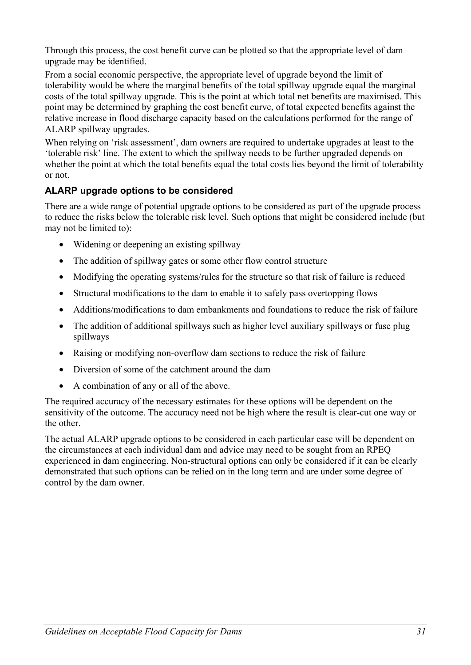Through this process, the cost benefit curve can be plotted so that the appropriate level of dam upgrade may be identified.

From a social economic perspective, the appropriate level of upgrade beyond the limit of tolerability would be where the marginal benefits of the total spillway upgrade equal the marginal costs of the total spillway upgrade. This is the point at which total net benefits are maximised. This point may be determined by graphing the cost benefit curve, of total expected benefits against the relative increase in flood discharge capacity based on the calculations performed for the range of ALARP spillway upgrades.

When relying on 'risk assessment', dam owners are required to undertake upgrades at least to the 'tolerable risk' line. The extent to which the spillway needs to be further upgraded depends on whether the point at which the total benefits equal the total costs lies beyond the limit of tolerability or not.

## **ALARP upgrade options to be considered**

There are a wide range of potential upgrade options to be considered as part of the upgrade process to reduce the risks below the tolerable risk level. Such options that might be considered include (but may not be limited to):

- Widening or deepening an existing spillway
- The addition of spillway gates or some other flow control structure
- Modifying the operating systems/rules for the structure so that risk of failure is reduced
- Structural modifications to the dam to enable it to safely pass overtopping flows
- Additions/modifications to dam embankments and foundations to reduce the risk of failure
- The addition of additional spillways such as higher level auxiliary spillways or fuse plug spillways
- Raising or modifying non-overflow dam sections to reduce the risk of failure
- Diversion of some of the catchment around the dam
- A combination of any or all of the above.

The required accuracy of the necessary estimates for these options will be dependent on the sensitivity of the outcome. The accuracy need not be high where the result is clear-cut one way or the other.

The actual ALARP upgrade options to be considered in each particular case will be dependent on the circumstances at each individual dam and advice may need to be sought from an RPEQ experienced in dam engineering. Non-structural options can only be considered if it can be clearly demonstrated that such options can be relied on in the long term and are under some degree of control by the dam owner.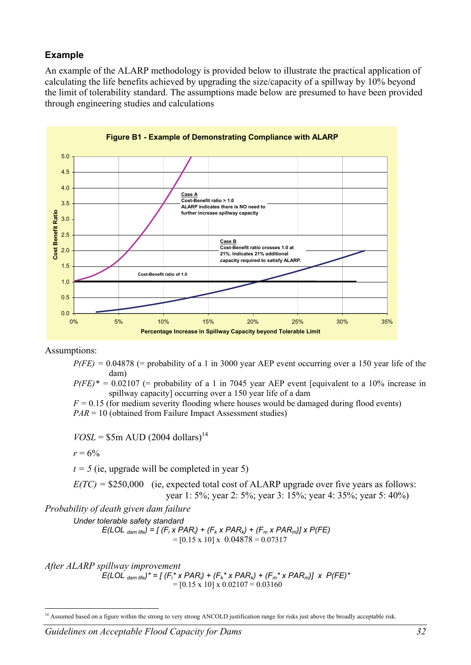#### **Example**

An example of the ALARP methodology is provided below to illustrate the practical application of calculating the life benefits achieved by upgrading the size/capacity of a spillway by 10% beyond the limit of tolerability standard. The assumptions made below are presumed to have been provided through engineering studies and calculations



Assumptions:

 $P(FE) = 0.04878$  (= probability of a 1 in 3000 year AEP event occurring over a 150 year life of the dam)

 $P(FE)^* = 0.02107$  (= probability of a 1 in 7045 year AEP event [equivalent to a 10% increase in spillway capacity] occurring over a 150 year life of a dam

 $F = 0.15$  (for medium severity flooding where houses would be damaged during flood events) *PAR* = 10 (obtained from Failure Impact Assessment studies)

 $VOSL =$ \$5m AUD (2004 dollars)<sup>14</sup>

$$
r=6\%
$$

 $\overline{a}$ 

 $t = 5$  (ie, upgrade will be completed in year 5)

*E(TC) =* \$250,000 (ie, expected total cost of ALARP upgrade over five years as follows: year 1: 5%; year 2: 5%; year 3: 15%; year 4: 35%; year 5: 40%)

*Probability of death given dam failure* 

*Under tolerable safety standard* 

*E*(LOL <sub>dam life) = [ (F<sub>i</sub> x PAR<sub>i</sub>) + (F<sub>k</sub> x PAR<sub>k</sub>) + (F<sub>m</sub> x PAR<sub>m</sub>)] x P(FE)</sub>  $=[0.15 \times 10] \times 0.04878 = 0.07317$ 

*After ALARP spillway improvement* 

*E*(LOL <sub>dam life)<sup>\*</sup> = [(F<sub>i</sub>\* x PAR<sub>i</sub>) + (F<sub>k</sub>\* x PAR<sub>k</sub>) + (F<sub>m</sub>\* x PAR<sub>m</sub>)] x P(FE)\*</sub>  $=[0.15 \times 10] \times 0.02107 = 0.03160$ 

<sup>&</sup>lt;sup>14</sup> Assumed based on a figure within the strong to very strong ANCOLD justification range for risks just above the broadly acceptable risk.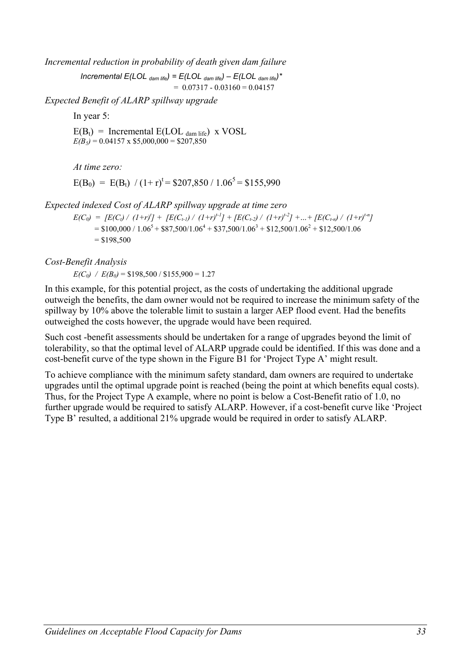*Incremental reduction in probability of death given dam failure* 

*Incremental E(LOL dam life) = E(LOL dam life)* – *E(LOL dam life)\**  $= 0.07317 - 0.03160 = 0.04157$ 

*Expected Benefit of ALARP spillway upgrade* 

In year 5:

 $E(B_t)$  = Incremental  $E(LOL_{dam life})$  x VOSL  $E(B_5) = 0.04157 \times $5,000,000 = $207,850$ 

*At time zero:* 

 $E(B_0) = E(B_t) / (1+r)^t = $207,850 / 1.06^5 = $155,990$ 

*Expected indexed Cost of ALARP spillway upgrade at time zero* 

 $E(C_0) = [E(C_i) / (1+r)^t] + [E(C_{i\text{-}1}) / (1+r)^{t\text{-}1}] + [E(C_{i\text{-}2}) / (1+r)^{t\text{-}2}] + ... + [E(C_{i\text{-}n}) / (1+r)^{t\text{-}n}]$  $= $100,000 / 1.06^{5} + $87,500 / 1.06^{4} + $37,500 / 1.06^{3} + $12,500 / 1.06^{2} + $12,500 / 1.06$  $=$  \$198,500

*Cost-Benefit Analysis* 

 $E(C_0)$  /  $E(B_0)$  = \$198,500 / \$155,900 = 1.27

In this example, for this potential project, as the costs of undertaking the additional upgrade outweigh the benefits, the dam owner would not be required to increase the minimum safety of the spillway by 10% above the tolerable limit to sustain a larger AEP flood event. Had the benefits outweighed the costs however, the upgrade would have been required.

Such cost -benefit assessments should be undertaken for a range of upgrades beyond the limit of tolerability, so that the optimal level of ALARP upgrade could be identified. If this was done and a cost-benefit curve of the type shown in the Figure B1 for 'Project Type A' might result.

To achieve compliance with the minimum safety standard, dam owners are required to undertake upgrades until the optimal upgrade point is reached (being the point at which benefits equal costs). Thus, for the Project Type A example, where no point is below a Cost-Benefit ratio of 1.0, no further upgrade would be required to satisfy ALARP. However, if a cost-benefit curve like 'Project Type B' resulted, a additional 21% upgrade would be required in order to satisfy ALARP.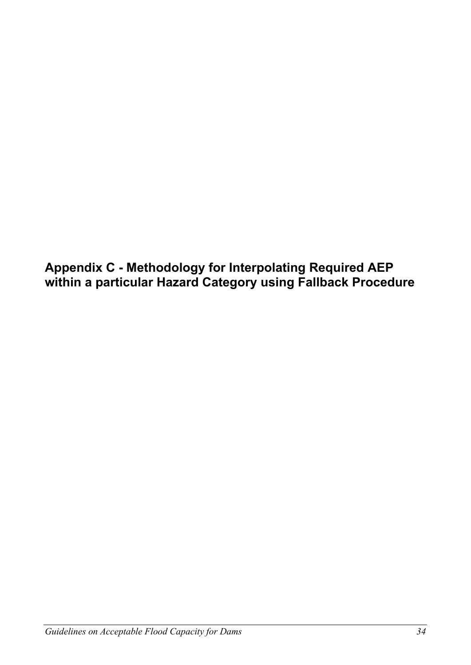**Appendix C - Methodology for Interpolating Required AEP within a particular Hazard Category using Fallback Procedure**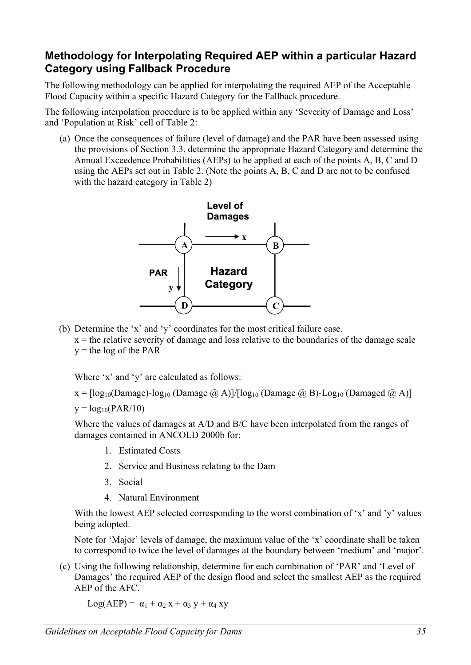# **Methodology for Interpolating Required AEP within a particular Hazard Category using Fallback Procedure**

The following methodology can be applied for interpolating the required AEP of the Acceptable Flood Capacity within a specific Hazard Category for the Fallback procedure.

The following interpolation procedure is to be applied within any 'Severity of Damage and Loss' and 'Population at Risk' cell of Table 2:

(a) Once the consequences of failure (level of damage) and the PAR have been assessed using the provisions of Section 3.3, determine the appropriate Hazard Category and determine the Annual Exceedence Probabilities (AEPs) to be applied at each of the points A, B, C and D using the AEPs set out in Table 2. (Note the points A, B, C and D are not to be confused with the hazard category in Table 2)



- (b) Determine the 'x' and 'y' coordinates for the most critical failure case.
	- $x =$  the relative severity of damage and loss relative to the boundaries of the damage scale  $y =$  the log of the PAR

Where 'x' and 'y' are calculated as follows:

 $x = \lceil \log_{10}(\text{Damage}) - \log_{10}(\text{Damage } \textcircled{a}, A) \rceil / \lceil \log_{10}(\text{Damage } \textcircled{a}, B) - \log_{10}(\text{Damaged } \textcircled{a}, A) \rceil$ 

 $y = log_{10}(PAR/10)$ 

Where the values of damages at A/D and B/C have been interpolated from the ranges of damages contained in ANCOLD 2000b for:

- 1. Estimated Costs
- 2. Service and Business relating to the Dam
- 3. Social
- 4. Natural Environment

With the lowest AEP selected corresponding to the worst combination of 'x' and 'y' values being adopted.

Note for 'Major' levels of damage, the maximum value of the 'x' coordinate shall be taken to correspond to twice the level of damages at the boundary between 'medium' and 'major'.

(c) Using the following relationship, determine for each combination of 'PAR' and 'Level of Damages' the required AEP of the design flood and select the smallest AEP as the required AEP of the AFC.

 $Log(AEP) = \alpha_1 + \alpha_2 x + \alpha_3 y + \alpha_4 xy$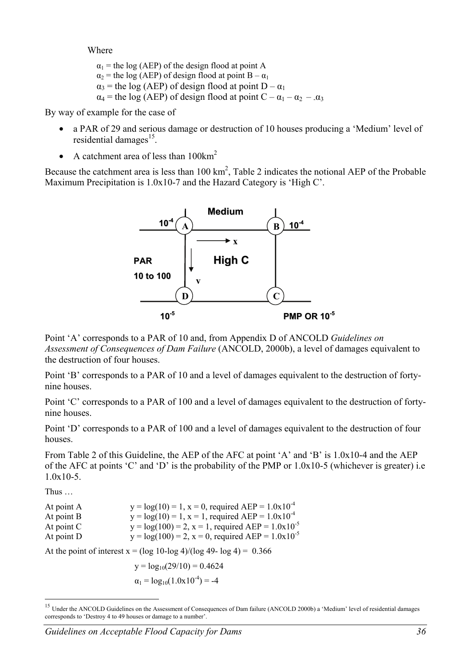Where

 $\alpha_1$  = the log (AEP) of the design flood at point A  $\alpha_2$  = the log (AEP) of design flood at point B –  $\alpha_1$  $\alpha_3$  = the log (AEP) of design flood at point D –  $\alpha_1$  $\alpha_4$  = the log (AEP) of design flood at point  $C - \alpha_1 - \alpha_2 - \alpha_3$ 

By way of example for the case of

- a PAR of 29 and serious damage or destruction of 10 houses producing a 'Medium' level of residential damages $^{15}$ .
- A catchment area of less than  $100 \text{km}^2$

Because the catchment area is less than  $100 \text{ km}^2$ , Table 2 indicates the notional AEP of the Probable Maximum Precipitation is 1.0x10-7 and the Hazard Category is 'High C'.



Point 'A' corresponds to a PAR of 10 and, from Appendix D of ANCOLD *Guidelines on Assessment of Consequences of Dam Failure* (ANCOLD, 2000b), a level of damages equivalent to the destruction of four houses.

Point 'B' corresponds to a PAR of 10 and a level of damages equivalent to the destruction of fortynine houses.

Point 'C' corresponds to a PAR of 100 and a level of damages equivalent to the destruction of fortynine houses.

Point 'D' corresponds to a PAR of 100 and a level of damages equivalent to the destruction of four houses.

From Table 2 of this Guideline, the AEP of the AFC at point 'A' and 'B' is 1.0x10-4 and the AEP of the AFC at points 'C' and 'D' is the probability of the PMP or 1.0x10-5 (whichever is greater) i.e 1.0x10-5.

Thus …

 $\overline{a}$ 

| At point A   | $y = log(10) = 1$ , $x = 0$ , required AEP = 1.0x10 <sup>-4</sup>  |
|--------------|--------------------------------------------------------------------|
| At point B   | $y = log(10) = 1$ , $x = 1$ , required AEP = 1.0x10 <sup>-4</sup>  |
| At point $C$ | $y = log(100) = 2$ , $x = 1$ , required AEP = 1.0x10 <sup>-5</sup> |
| At point D   | $y = log(100) = 2$ , $x = 0$ , required AEP = 1.0x10 <sup>-5</sup> |

At the point of interest  $x = (\log 10 - \log 4)/(\log 49 - \log 4) = 0.366$ 

 $y = log_{10}(29/10) = 0.4624$  $\alpha_1 = \log_{10}(1.0x10^{-4}) = -4$ 

<sup>&</sup>lt;sup>15</sup> Under the ANCOLD Guidelines on the Assessment of Consequences of Dam failure (ANCOLD 2000b) a 'Medium' level of residential damages corresponds to 'Destroy 4 to 49 houses or damage to a number'.